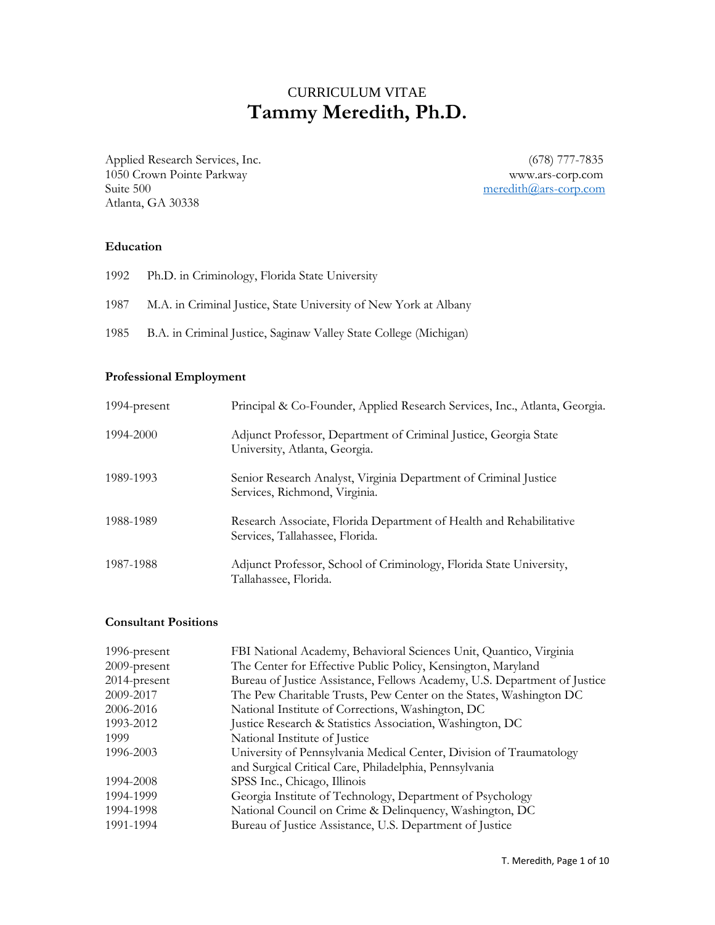# CURRICULUM VITAE **Tammy Meredith, Ph.D.**

Applied Research Services, Inc. (678) 777-7835 1050 Crown Pointe Parkway www.ars-corp.com Suite 500 [meredith@ars-corp.com](mailto:meredith@ars-corp.com) Atlanta, GA 30338

### **Education**

|      | 1992 Ph.D. in Criminology, Florida State University               |
|------|-------------------------------------------------------------------|
| 1987 | M.A. in Criminal Justice, State University of New York at Albany  |
| 1985 | B.A. in Criminal Justice, Saginaw Valley State College (Michigan) |

#### **Professional Employment**

| 1994-present | Principal & Co-Founder, Applied Research Services, Inc., Atlanta, Georgia.                             |
|--------------|--------------------------------------------------------------------------------------------------------|
| 1994-2000    | Adjunct Professor, Department of Criminal Justice, Georgia State<br>University, Atlanta, Georgia.      |
| 1989-1993    | Senior Research Analyst, Virginia Department of Criminal Justice<br>Services, Richmond, Virginia.      |
| 1988-1989    | Research Associate, Florida Department of Health and Rehabilitative<br>Services, Tallahassee, Florida. |
| 1987-1988    | Adjunct Professor, School of Criminology, Florida State University,<br>Tallahassee, Florida.           |

## **Consultant Positions**

| FBI National Academy, Behavioral Sciences Unit, Quantico, Virginia        |
|---------------------------------------------------------------------------|
| The Center for Effective Public Policy, Kensington, Maryland              |
| Bureau of Justice Assistance, Fellows Academy, U.S. Department of Justice |
| The Pew Charitable Trusts, Pew Center on the States, Washington DC        |
| National Institute of Corrections, Washington, DC                         |
| Justice Research & Statistics Association, Washington, DC                 |
| National Institute of Justice                                             |
| University of Pennsylvania Medical Center, Division of Traumatology       |
| and Surgical Critical Care, Philadelphia, Pennsylvania                    |
| SPSS Inc., Chicago, Illinois                                              |
| Georgia Institute of Technology, Department of Psychology                 |
| National Council on Crime & Delinquency, Washington, DC                   |
| Bureau of Justice Assistance, U.S. Department of Justice                  |
|                                                                           |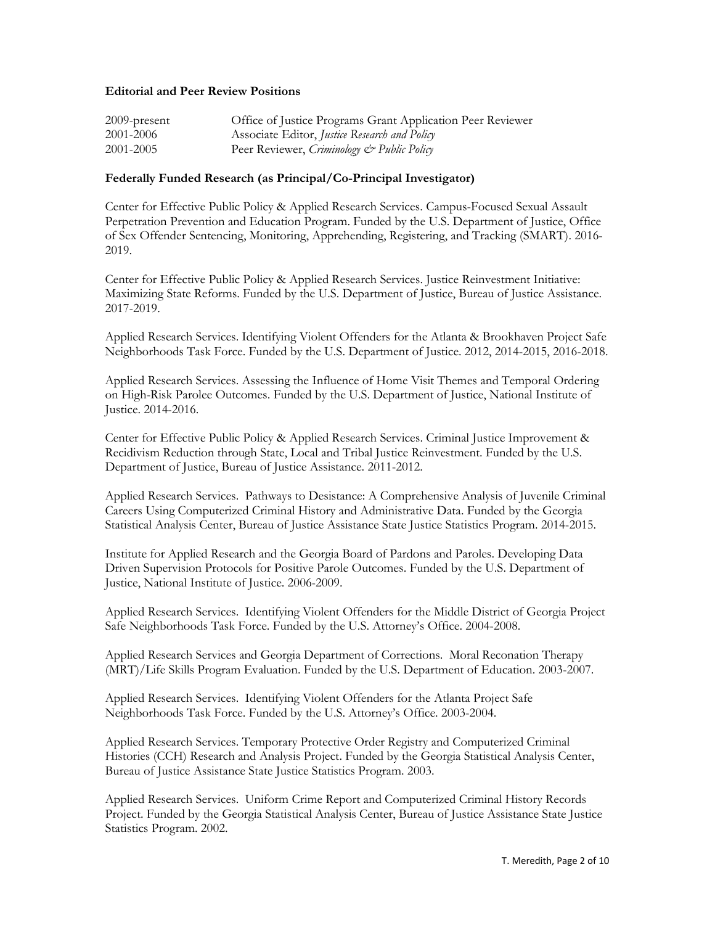### **Editorial and Peer Review Positions**

| $2009$ -present | Office of Justice Programs Grant Application Peer Reviewer |
|-----------------|------------------------------------------------------------|
| 2001-2006       | Associate Editor, Justice Research and Policy              |
| 2001-2005       | Peer Reviewer, Criminology & Public Policy                 |

#### **Federally Funded Research (as Principal/Co-Principal Investigator)**

Center for Effective Public Policy & Applied Research Services. Campus-Focused Sexual Assault Perpetration Prevention and Education Program. Funded by the U.S. Department of Justice, Office of Sex Offender Sentencing, Monitoring, Apprehending, Registering, and Tracking (SMART). 2016- 2019.

Center for Effective Public Policy & Applied Research Services. Justice Reinvestment Initiative: Maximizing State Reforms. Funded by the U.S. Department of Justice, Bureau of Justice Assistance. 2017-2019.

Applied Research Services. Identifying Violent Offenders for the Atlanta & Brookhaven Project Safe Neighborhoods Task Force. Funded by the U.S. Department of Justice. 2012, 2014-2015, 2016-2018.

Applied Research Services. Assessing the Influence of Home Visit Themes and Temporal Ordering on High-Risk Parolee Outcomes. Funded by the U.S. Department of Justice, National Institute of Justice. 2014-2016.

Center for Effective Public Policy & Applied Research Services. Criminal Justice Improvement & Recidivism Reduction through State, Local and Tribal Justice Reinvestment. Funded by the U.S. Department of Justice, Bureau of Justice Assistance. 2011-2012.

Applied Research Services. Pathways to Desistance: A Comprehensive Analysis of Juvenile Criminal Careers Using Computerized Criminal History and Administrative Data. Funded by the Georgia Statistical Analysis Center, Bureau of Justice Assistance State Justice Statistics Program. 2014-2015.

Institute for Applied Research and the Georgia Board of Pardons and Paroles. Developing Data Driven Supervision Protocols for Positive Parole Outcomes. Funded by the U.S. Department of Justice, National Institute of Justice. 2006-2009.

Applied Research Services. Identifying Violent Offenders for the Middle District of Georgia Project Safe Neighborhoods Task Force. Funded by the U.S. Attorney's Office. 2004-2008.

Applied Research Services and Georgia Department of Corrections. Moral Reconation Therapy (MRT)/Life Skills Program Evaluation. Funded by the U.S. Department of Education. 2003-2007.

Applied Research Services. Identifying Violent Offenders for the Atlanta Project Safe Neighborhoods Task Force. Funded by the U.S. Attorney's Office. 2003-2004.

Applied Research Services. Temporary Protective Order Registry and Computerized Criminal Histories (CCH) Research and Analysis Project. Funded by the Georgia Statistical Analysis Center, Bureau of Justice Assistance State Justice Statistics Program. 2003.

Applied Research Services. Uniform Crime Report and Computerized Criminal History Records Project. Funded by the Georgia Statistical Analysis Center, Bureau of Justice Assistance State Justice Statistics Program. 2002.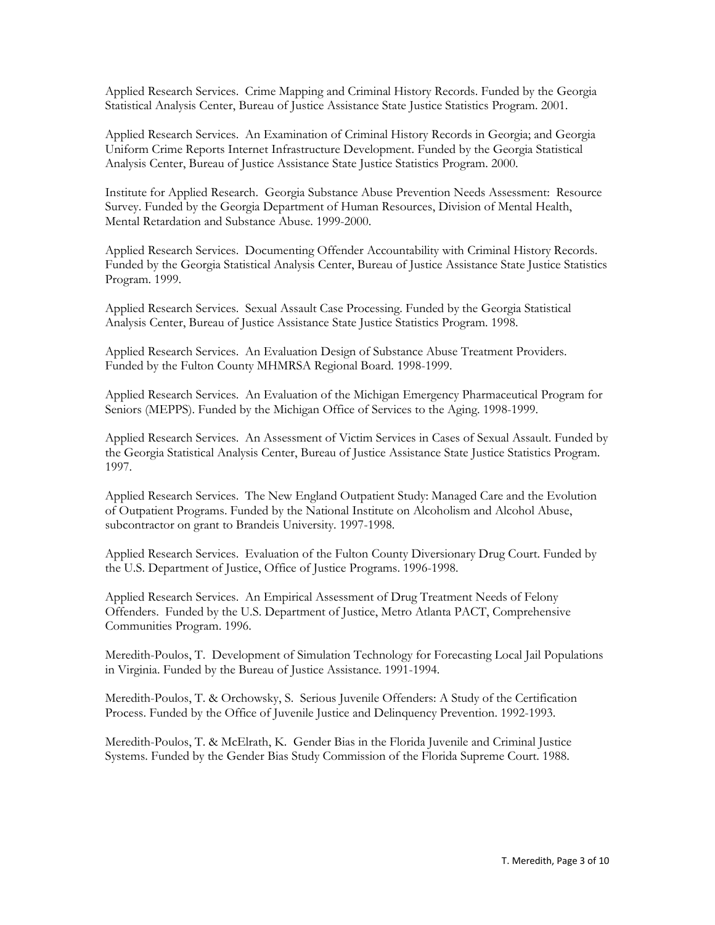Applied Research Services. Crime Mapping and Criminal History Records. Funded by the Georgia Statistical Analysis Center, Bureau of Justice Assistance State Justice Statistics Program. 2001.

Applied Research Services. An Examination of Criminal History Records in Georgia; and Georgia Uniform Crime Reports Internet Infrastructure Development. Funded by the Georgia Statistical Analysis Center, Bureau of Justice Assistance State Justice Statistics Program. 2000.

Institute for Applied Research. Georgia Substance Abuse Prevention Needs Assessment: Resource Survey. Funded by the Georgia Department of Human Resources, Division of Mental Health, Mental Retardation and Substance Abuse. 1999-2000.

Applied Research Services. Documenting Offender Accountability with Criminal History Records. Funded by the Georgia Statistical Analysis Center, Bureau of Justice Assistance State Justice Statistics Program. 1999.

Applied Research Services. Sexual Assault Case Processing. Funded by the Georgia Statistical Analysis Center, Bureau of Justice Assistance State Justice Statistics Program. 1998.

Applied Research Services. An Evaluation Design of Substance Abuse Treatment Providers. Funded by the Fulton County MHMRSA Regional Board. 1998-1999.

Applied Research Services. An Evaluation of the Michigan Emergency Pharmaceutical Program for Seniors (MEPPS). Funded by the Michigan Office of Services to the Aging. 1998-1999.

Applied Research Services. An Assessment of Victim Services in Cases of Sexual Assault. Funded by the Georgia Statistical Analysis Center, Bureau of Justice Assistance State Justice Statistics Program. 1997.

Applied Research Services. The New England Outpatient Study: Managed Care and the Evolution of Outpatient Programs. Funded by the National Institute on Alcoholism and Alcohol Abuse, subcontractor on grant to Brandeis University. 1997-1998.

Applied Research Services. Evaluation of the Fulton County Diversionary Drug Court. Funded by the U.S. Department of Justice, Office of Justice Programs. 1996-1998.

Applied Research Services. An Empirical Assessment of Drug Treatment Needs of Felony Offenders. Funded by the U.S. Department of Justice, Metro Atlanta PACT, Comprehensive Communities Program. 1996.

Meredith-Poulos, T. Development of Simulation Technology for Forecasting Local Jail Populations in Virginia. Funded by the Bureau of Justice Assistance. 1991-1994.

Meredith-Poulos, T. & Orchowsky, S. Serious Juvenile Offenders: A Study of the Certification Process. Funded by the Office of Juvenile Justice and Delinquency Prevention. 1992-1993.

Meredith-Poulos, T. & McElrath, K. Gender Bias in the Florida Juvenile and Criminal Justice Systems. Funded by the Gender Bias Study Commission of the Florida Supreme Court. 1988.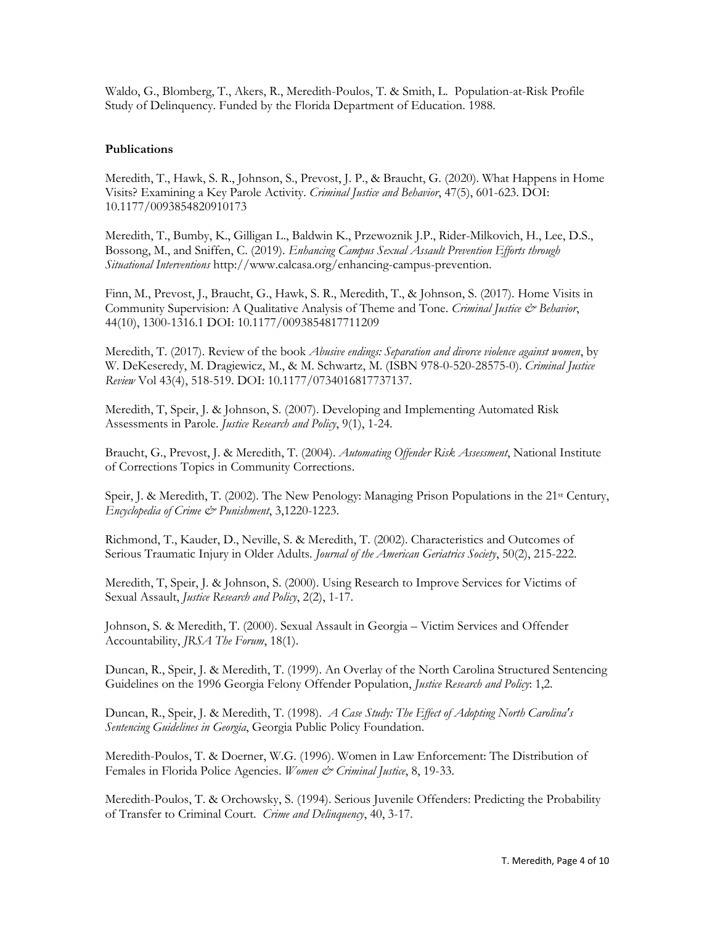Waldo, G., Blomberg, T., Akers, R., Meredith-Poulos, T. & Smith, L. Population-at-Risk Profile Study of Delinquency. Funded by the Florida Department of Education. 1988.

# **Publications**

Meredith, T., Hawk, S. R., Johnson, S., Prevost, J. P., & Braucht, G. (2020). What Happens in Home Visits? Examining a Key Parole Activity. *Criminal Justice and Behavior*, 47(5), 601-623. DOI: 10.1177/0093854820910173

Meredith, T., Bumby, K., Gilligan L., Baldwin K., Przewoznik J.P., Rider-Milkovich, H., Lee, D.S., Bossong, M., and Sniffen, C. (2019). *Enhancing Campus Sexual Assault Prevention Efforts through Situational Interventions* http://www.calcasa.org/enhancing-campus-prevention.

Finn, M., Prevost, J., Braucht, G., Hawk, S. R., Meredith, T., & Johnson, S. (2017). Home Visits in Community Supervision: A Qualitative Analysis of Theme and Tone. *Criminal Justice & Behavior*, 44(10), 1300-1316.1 DOI: 10.1177/0093854817711209

Meredith, T. (2017). Review of the book *Abusive endings: Separation and divorce violence against women*, by W. DeKeseredy, M. Dragiewicz, M., & M. Schwartz, M. (ISBN 978-0-520-28575-0). *Criminal Justice Review* Vol 43(4), 518-519. DOI: 10.1177/0734016817737137.

Meredith, T, Speir, J. & Johnson, S. (2007). Developing and Implementing Automated Risk Assessments in Parole. *Justice Research and Policy*, 9(1), 1-24.

Braucht, G., Prevost, J. & Meredith, T. (2004). *Automating Offender Risk Assessment*, National Institute of Corrections Topics in Community Corrections.

Speir, J. & Meredith, T. (2002). The New Penology: Managing Prison Populations in the 21<sup>st</sup> Century, *Encyclopedia of Crime & Punishment*, 3,1220-1223.

Richmond, T., Kauder, D., Neville, S. & Meredith, T. (2002). Characteristics and Outcomes of Serious Traumatic Injury in Older Adults*. Journal of the American Geriatrics Society*, 50(2), 215-222.

Meredith, T, Speir, J. & Johnson, S. (2000). Using Research to Improve Services for Victims of Sexual Assault, *Justice Research and Policy*, 2(2), 1-17.

Johnson, S. & Meredith, T. (2000). Sexual Assault in Georgia – Victim Services and Offender Accountability, *JRSA The Forum*, 18(1).

Duncan, R., Speir, J. & Meredith, T. (1999). An Overlay of the North Carolina Structured Sentencing Guidelines on the 1996 Georgia Felony Offender Population, *Justice Research and Policy*: 1,2.

Duncan, R., Speir, J. & Meredith, T. (1998). *A Case Study: The Effect of Adopting North Carolina's Sentencing Guidelines in Georgia*, Georgia Public Policy Foundation.

Meredith-Poulos, T. & Doerner, W.G. (1996). Women in Law Enforcement: The Distribution of Females in Florida Police Agencies. *Women & Criminal Justice*, 8, 19-33.

Meredith-Poulos, T. & Orchowsky, S. (1994). Serious Juvenile Offenders: Predicting the Probability of Transfer to Criminal Court. *Crime and Delinquency*, 40, 3-17.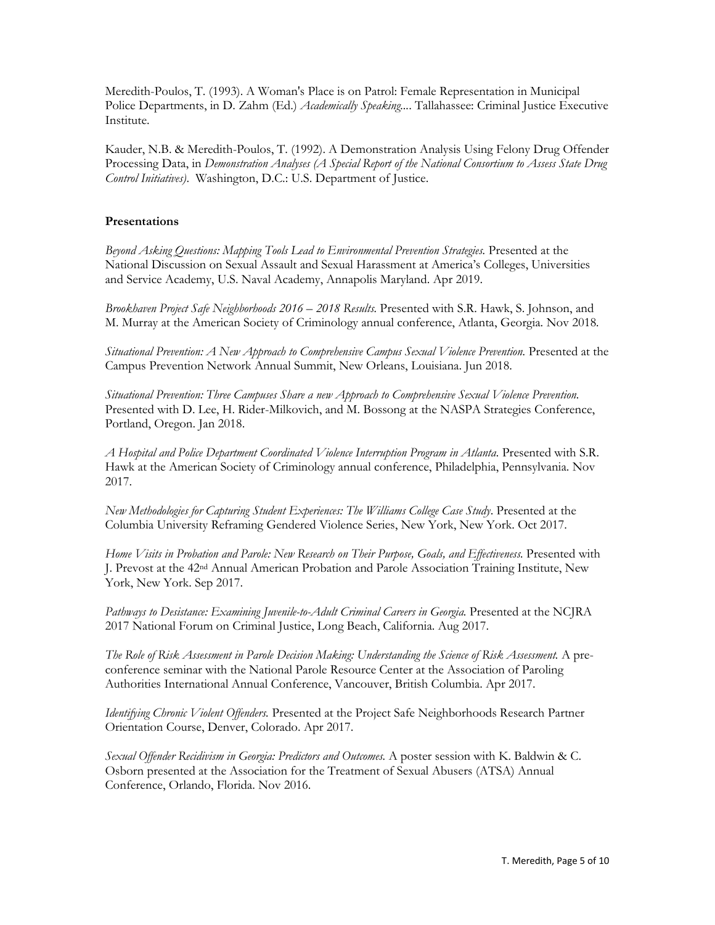Meredith-Poulos, T. (1993). A Woman's Place is on Patrol: Female Representation in Municipal Police Departments, in D. Zahm (Ed.) *Academically Speaking...*. Tallahassee: Criminal Justice Executive Institute.

Kauder, N.B. & Meredith-Poulos, T. (1992). A Demonstration Analysis Using Felony Drug Offender Processing Data, in *Demonstration Analyses (A Special Report of the National Consortium to Assess State Drug Control Initiatives)*. Washington, D.C.: U.S. Department of Justice.

### **Presentations**

*Beyond Asking Questions: Mapping Tools Lead to Environmental Prevention Strategies.* Presented at the National Discussion on Sexual Assault and Sexual Harassment at America's Colleges, Universities and Service Academy, U.S. Naval Academy, Annapolis Maryland. Apr 2019.

*Brookhaven Project Safe Neighborhoods 2016 – 2018 Results.* Presented with S.R. Hawk, S. Johnson, and M. Murray at the American Society of Criminology annual conference, Atlanta, Georgia. Nov 2018*.*

*Situational Prevention: A New Approach to Comprehensive Campus Sexual Violence Prevention.* Presented at the Campus Prevention Network Annual Summit, New Orleans, Louisiana. Jun 2018.

*Situational Prevention: Three Campuses Share a new Approach to Comprehensive Sexual Violence Prevention.*  Presented with D. Lee, H. Rider-Milkovich, and M. Bossong at the NASPA Strategies Conference, Portland, Oregon. Jan 2018.

*A Hospital and Police Department Coordinated Violence Interruption Program in Atlanta.* Presented with S.R. Hawk at the American Society of Criminology annual conference, Philadelphia, Pennsylvania. Nov 2017.

*New Methodologies for Capturing Student Experiences: The Williams College Case Study*. Presented at the Columbia University Reframing Gendered Violence Series, New York, New York. Oct 2017.

*Home Visits in Probation and Parole: New Research on Their Purpose, Goals, and Effectiveness.* Presented with J. Prevost at the 42nd Annual American Probation and Parole Association Training Institute, New York, New York. Sep 2017.

Pathways to Desistance: Examining Juvenile-to-Adult Criminal Careers in Georgia. Presented at the NCJRA 2017 National Forum on Criminal Justice, Long Beach, California. Aug 2017.

*The Role of Risk Assessment in Parole Decision Making: Understanding the Science of Risk Assessment.* A preconference seminar with the National Parole Resource Center at the Association of Paroling Authorities International Annual Conference, Vancouver, British Columbia. Apr 2017.

*Identifying Chronic Violent Offenders.* Presented at the Project Safe Neighborhoods Research Partner Orientation Course, Denver, Colorado. Apr 2017.

*Sexual Offender Recidivism in Georgia: Predictors and Outcomes.* A poster session with K. Baldwin & C. Osborn presented at the Association for the Treatment of Sexual Abusers (ATSA) Annual Conference, Orlando, Florida. Nov 2016.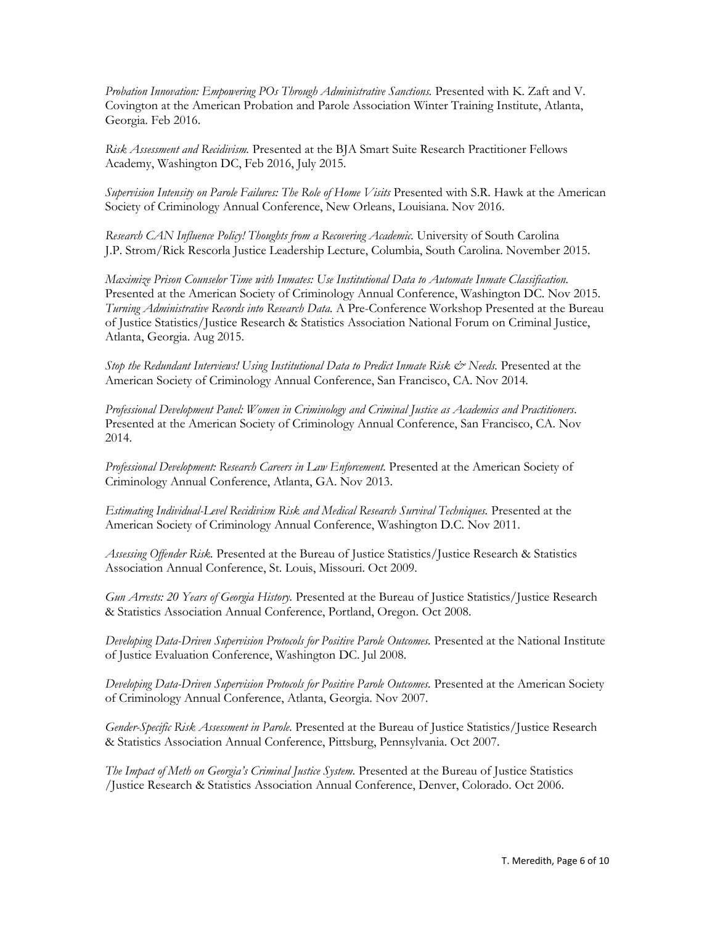*Probation Innovation: Empowering POs Through Administrative Sanctions.* Presented with K. Zaft and V. Covington at the American Probation and Parole Association Winter Training Institute, Atlanta, Georgia. Feb 2016.

*Risk Assessment and Recidivism.* Presented at the BJA Smart Suite Research Practitioner Fellows Academy, Washington DC, Feb 2016, July 2015.

*Supervision Intensity on Parole Failures: The Role of Home Visits* Presented with S.R. Hawk at the American Society of Criminology Annual Conference, New Orleans, Louisiana. Nov 2016.

*Research CAN Influence Policy! Thoughts from a Recovering Academic.* University of South Carolina J.P. Strom/Rick Rescorla Justice Leadership Lecture, Columbia, South Carolina. November 2015.

*Maximize Prison Counselor Time with Inmates: Use Institutional Data to Automate Inmate Classification.*  Presented at the American Society of Criminology Annual Conference, Washington DC. Nov 2015. *Turning Administrative Records into Research Data.* A Pre-Conference Workshop Presented at the Bureau of Justice Statistics/Justice Research & Statistics Association National Forum on Criminal Justice, Atlanta, Georgia. Aug 2015.

*Stop the Redundant Interviews! Using Institutional Data to Predict Inmate Risk & Needs.* Presented at the American Society of Criminology Annual Conference, San Francisco, CA. Nov 2014.

*Professional Development Panel: Women in Criminology and Criminal Justice as Academics and Practitioners.*  Presented at the American Society of Criminology Annual Conference, San Francisco, CA. Nov 2014.

*Professional Development: Research Careers in Law Enforcement.* Presented at the American Society of Criminology Annual Conference, Atlanta, GA. Nov 2013.

*Estimating Individual-Level Recidivism Risk and Medical Research Survival Techniques.* Presented at the American Society of Criminology Annual Conference, Washington D.C. Nov 2011.

*Assessing Offender Risk.* Presented at the Bureau of Justice Statistics/Justice Research & Statistics Association Annual Conference, St. Louis, Missouri. Oct 2009.

*Gun Arrests: 20 Years of Georgia History.* Presented at the Bureau of Justice Statistics/Justice Research & Statistics Association Annual Conference, Portland, Oregon. Oct 2008.

*Developing Data-Driven Supervision Protocols for Positive Parole Outcomes.* Presented at the National Institute of Justice Evaluation Conference, Washington DC. Jul 2008.

*Developing Data-Driven Supervision Protocols for Positive Parole Outcomes.* Presented at the American Society of Criminology Annual Conference, Atlanta, Georgia. Nov 2007.

*Gender-Specific Risk Assessment in Parole.* Presented at the Bureau of Justice Statistics/Justice Research & Statistics Association Annual Conference, Pittsburg, Pennsylvania. Oct 2007.

*The Impact of Meth on Georgia's Criminal Justice System.* Presented at the Bureau of Justice Statistics /Justice Research & Statistics Association Annual Conference, Denver, Colorado. Oct 2006.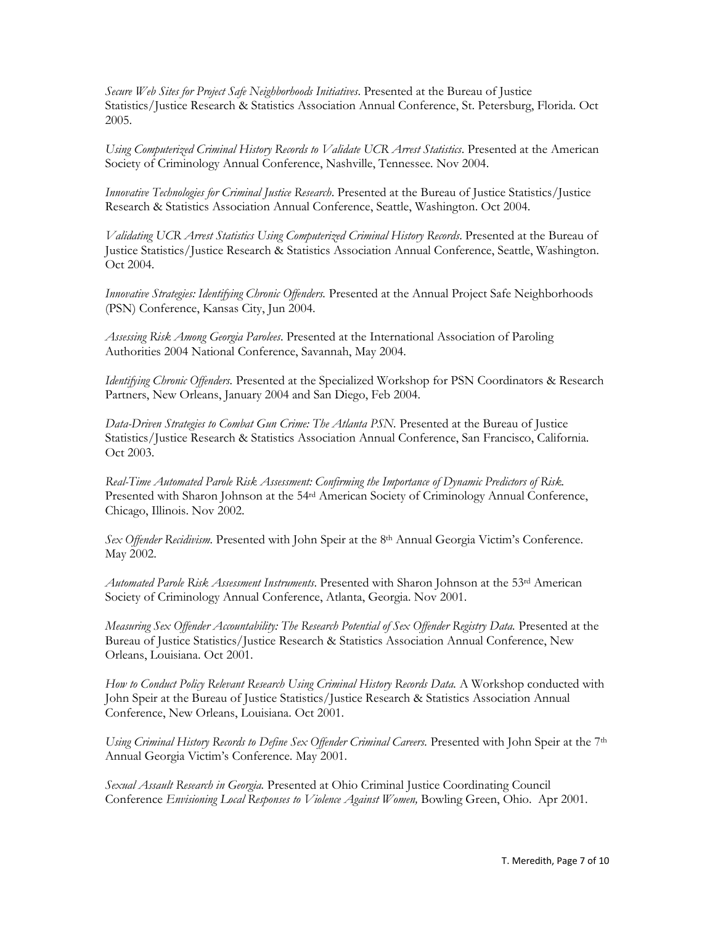*Secure Web Sites for Project Safe Neighborhoods Initiatives*. Presented at the Bureau of Justice Statistics/Justice Research & Statistics Association Annual Conference, St. Petersburg, Florida. Oct 2005.

*Using Computerized Criminal History Records to Validate UCR Arrest Statistics*. Presented at the American Society of Criminology Annual Conference, Nashville, Tennessee. Nov 2004.

*Innovative Technologies for Criminal Justice Research*. Presented at the Bureau of Justice Statistics/Justice Research & Statistics Association Annual Conference, Seattle, Washington. Oct 2004.

*Validating UCR Arrest Statistics Using Computerized Criminal History Records*. Presented at the Bureau of Justice Statistics/Justice Research & Statistics Association Annual Conference, Seattle, Washington. Oct 2004.

*Innovative Strategies: Identifying Chronic Offenders.* Presented at the Annual Project Safe Neighborhoods (PSN) Conference, Kansas City, Jun 2004.

*Assessing Risk Among Georgia Parolees*. Presented at the International Association of Paroling Authorities 2004 National Conference, Savannah, May 2004.

*Identifying Chronic Offenders.* Presented at the Specialized Workshop for PSN Coordinators & Research Partners, New Orleans, January 2004 and San Diego, Feb 2004.

*Data-Driven Strategies to Combat Gun Crime: The Atlanta PSN.* Presented at the Bureau of Justice Statistics/Justice Research & Statistics Association Annual Conference, San Francisco, California. Oct 2003.

*Real-Time Automated Parole Risk Assessment: Confirming the Importance of Dynamic Predictors of Risk.* Presented with Sharon Johnson at the 54rd American Society of Criminology Annual Conference, Chicago, Illinois. Nov 2002.

*Sex Offender Recidivism.* Presented with John Speir at the 8th Annual Georgia Victim's Conference. May 2002.

*Automated Parole Risk Assessment Instruments*. Presented with Sharon Johnson at the 53rd American Society of Criminology Annual Conference, Atlanta, Georgia. Nov 2001.

*Measuring Sex Offender Accountability: The Research Potential of Sex Offender Registry Data.* Presented at the Bureau of Justice Statistics/Justice Research & Statistics Association Annual Conference, New Orleans, Louisiana. Oct 2001.

*How to Conduct Policy Relevant Research Using Criminal History Records Data.* A Workshop conducted with John Speir at the Bureau of Justice Statistics/Justice Research & Statistics Association Annual Conference, New Orleans, Louisiana. Oct 2001.

*Using Criminal History Records to Define Sex Offender Criminal Careers.* Presented with John Speir at the 7<sup>th</sup> Annual Georgia Victim's Conference. May 2001.

*Sexual Assault Research in Georgia.* Presented at Ohio Criminal Justice Coordinating Council Conference *Envisioning Local Responses to Violence Against Women,* Bowling Green, Ohio. Apr 2001.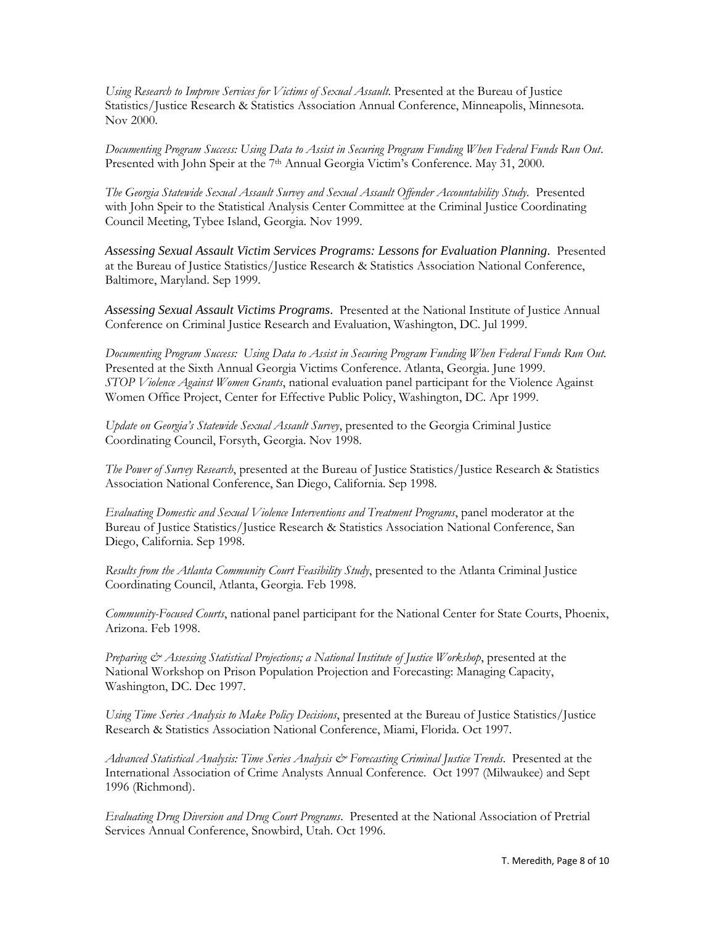*Using Research to Improve Services for Victims of Sexual Assault*. Presented at the Bureau of Justice Statistics/Justice Research & Statistics Association Annual Conference, Minneapolis, Minnesota. Nov 2000.

*Documenting Program Success: Using Data to Assist in Securing Program Funding When Federal Funds Run Out*. Presented with John Speir at the 7th Annual Georgia Victim's Conference. May 31, 2000.

*The Georgia Statewide Sexual Assault Survey and Sexual Assault Offender Accountability Study*. Presented with John Speir to the Statistical Analysis Center Committee at the Criminal Justice Coordinating Council Meeting, Tybee Island, Georgia. Nov 1999.

*Assessing Sexual Assault Victim Services Programs: Lessons for Evaluation Planning*. Presented at the Bureau of Justice Statistics/Justice Research & Statistics Association National Conference, Baltimore, Maryland. Sep 1999.

*Assessing Sexual Assault Victims Programs*. Presented at the National Institute of Justice Annual Conference on Criminal Justice Research and Evaluation, Washington, DC. Jul 1999.

*Documenting Program Success: Using Data to Assist in Securing Program Funding When Federal Funds Run Out.* Presented at the Sixth Annual Georgia Victims Conference. Atlanta, Georgia. June 1999. *STOP Violence Against Women Grants*, national evaluation panel participant for the Violence Against Women Office Project, Center for Effective Public Policy, Washington, DC. Apr 1999.

*Update on Georgia's Statewide Sexual Assault Survey*, presented to the Georgia Criminal Justice Coordinating Council, Forsyth, Georgia. Nov 1998.

*The Power of Survey Research*, presented at the Bureau of Justice Statistics/Justice Research & Statistics Association National Conference, San Diego, California. Sep 1998.

*Evaluating Domestic and Sexual Violence Interventions and Treatment Programs*, panel moderator at the Bureau of Justice Statistics/Justice Research & Statistics Association National Conference, San Diego, California. Sep 1998.

*Results from the Atlanta Community Court Feasibility Study*, presented to the Atlanta Criminal Justice Coordinating Council, Atlanta, Georgia. Feb 1998.

*Community-Focused Courts*, national panel participant for the National Center for State Courts, Phoenix, Arizona. Feb 1998.

*Preparing & Assessing Statistical Projections; a National Institute of Justice Workshop*, presented at the National Workshop on Prison Population Projection and Forecasting: Managing Capacity, Washington, DC. Dec 1997.

*Using Time Series Analysis to Make Policy Decisions*, presented at the Bureau of Justice Statistics/Justice Research & Statistics Association National Conference, Miami, Florida. Oct 1997.

*Advanced Statistical Analysis: Time Series Analysis & Forecasting Criminal Justice Trends*. Presented at the International Association of Crime Analysts Annual Conference. Oct 1997 (Milwaukee) and Sept 1996 (Richmond).

*Evaluating Drug Diversion and Drug Court Programs*. Presented at the National Association of Pretrial Services Annual Conference, Snowbird, Utah. Oct 1996.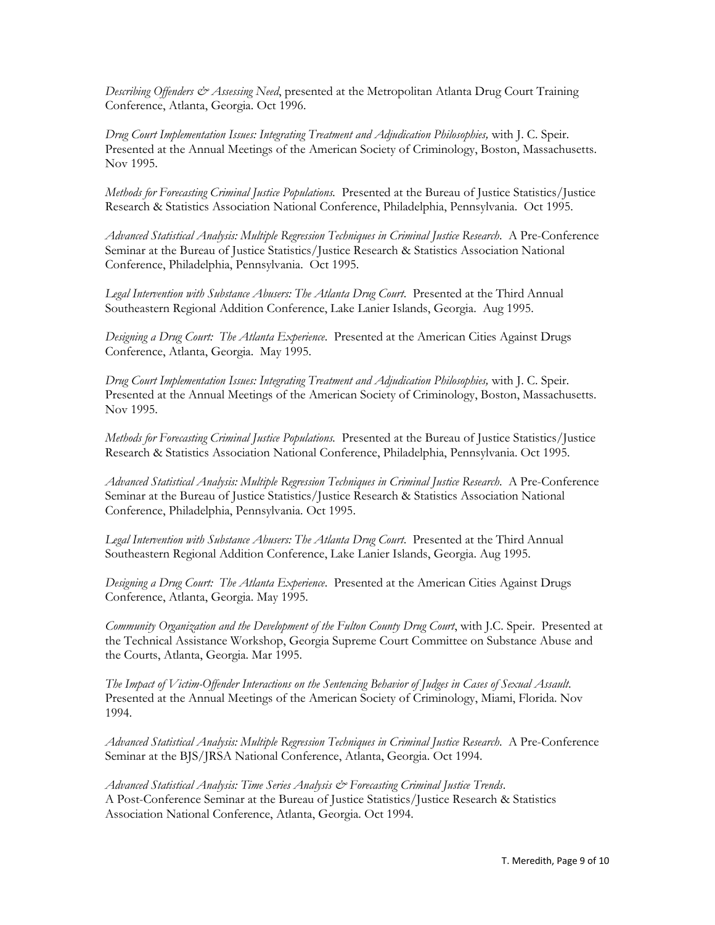*Describing Offenders & Assessing Need*, presented at the Metropolitan Atlanta Drug Court Training Conference, Atlanta, Georgia. Oct 1996.

*Drug Court Implementation Issues: Integrating Treatment and Adjudication Philosophies,* with J. C. Speir*.* Presented at the Annual Meetings of the American Society of Criminology, Boston, Massachusetts. Nov 1995.

*Methods for Forecasting Criminal Justice Populations.* Presented at the Bureau of Justice Statistics/Justice Research & Statistics Association National Conference, Philadelphia, Pennsylvania. Oct 1995.

*Advanced Statistical Analysis: Multiple Regression Techniques in Criminal Justice Research*. A Pre-Conference Seminar at the Bureau of Justice Statistics/Justice Research & Statistics Association National Conference, Philadelphia, Pennsylvania. Oct 1995.

*Legal Intervention with Substance Abusers: The Atlanta Drug Court*. Presented at the Third Annual Southeastern Regional Addition Conference, Lake Lanier Islands, Georgia. Aug 1995.

*Designing a Drug Court: The Atlanta Experience*. Presented at the American Cities Against Drugs Conference, Atlanta, Georgia. May 1995.

*Drug Court Implementation Issues: Integrating Treatment and Adjudication Philosophies,* with J. C. Speir*.* Presented at the Annual Meetings of the American Society of Criminology, Boston, Massachusetts. Nov 1995.

*Methods for Forecasting Criminal Justice Populations.* Presented at the Bureau of Justice Statistics/Justice Research & Statistics Association National Conference, Philadelphia, Pennsylvania. Oct 1995.

*Advanced Statistical Analysis: Multiple Regression Techniques in Criminal Justice Research*. A Pre-Conference Seminar at the Bureau of Justice Statistics/Justice Research & Statistics Association National Conference, Philadelphia, Pennsylvania. Oct 1995.

*Legal Intervention with Substance Abusers: The Atlanta Drug Court*. Presented at the Third Annual Southeastern Regional Addition Conference, Lake Lanier Islands, Georgia. Aug 1995.

*Designing a Drug Court: The Atlanta Experience*. Presented at the American Cities Against Drugs Conference, Atlanta, Georgia. May 1995.

*Community Organization and the Development of the Fulton County Drug Court*, with J.C. Speir. Presented at the Technical Assistance Workshop, Georgia Supreme Court Committee on Substance Abuse and the Courts, Atlanta, Georgia. Mar 1995.

*The Impact of Victim-Offender Interactions on the Sentencing Behavior of Judges in Cases of Sexual Assault*. Presented at the Annual Meetings of the American Society of Criminology, Miami, Florida. Nov 1994.

*Advanced Statistical Analysis: Multiple Regression Techniques in Criminal Justice Research*. A Pre-Conference Seminar at the BJS/JRSA National Conference, Atlanta, Georgia. Oct 1994.

*Advanced Statistical Analysis: Time Series Analysis & Forecasting Criminal Justice Trends*. A Post-Conference Seminar at the Bureau of Justice Statistics/Justice Research & Statistics Association National Conference, Atlanta, Georgia. Oct 1994.